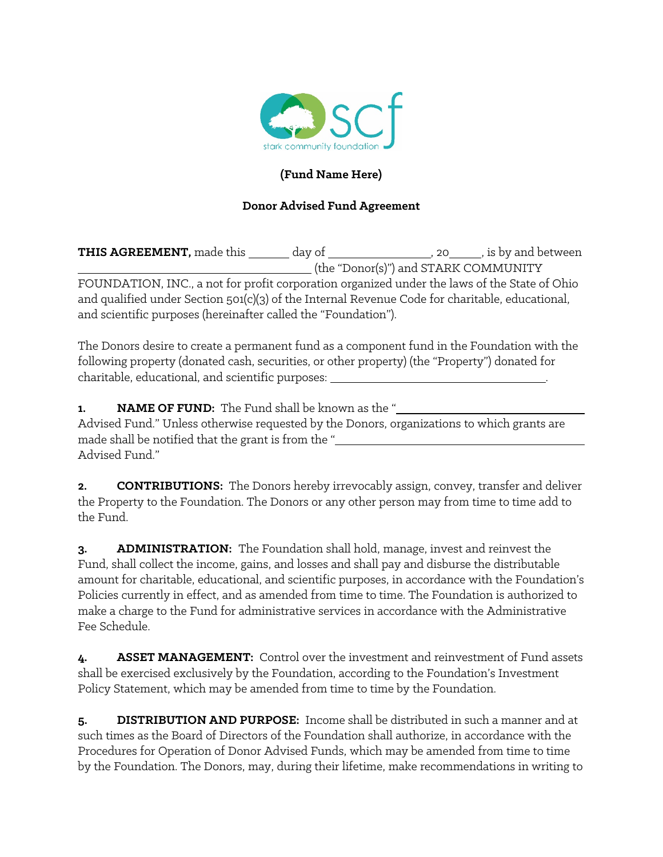

## **(Fund Name Here)**

## **Donor Advised Fund Agreement**

**THIS AGREEMENT,** made this \_\_\_\_\_\_\_ day of \_\_\_\_\_\_\_\_\_\_\_\_\_\_\_\_\_, 20\_\_\_\_\_\_, is by and between (the "Donor(s)") and STARK COMMUNITY FOUNDATION, INC., a not for profit corporation organized under the laws of the State of Ohio and qualified under Section 501(c)(3) of the Internal Revenue Code for charitable, educational, and scientific purposes (hereinafter called the "Foundation").

The Donors desire to create a permanent fund as a component fund in the Foundation with the following property (donated cash, securities, or other property) (the "Property") donated for charitable, educational, and scientific purposes: .

**1. NAME OF FUND:** The Fund shall be known as the "

Advised Fund." Unless otherwise requested by the Donors, organizations to which grants are made shall be notified that the grant is from the " Advised Fund."

**2. CONTRIBUTIONS:** The Donors hereby irrevocably assign, convey, transfer and deliver the Property to the Foundation. The Donors or any other person may from time to time add to the Fund.

**3. ADMINISTRATION:** The Foundation shall hold, manage, invest and reinvest the Fund, shall collect the income, gains, and losses and shall pay and disburse the distributable amount for charitable, educational, and scientific purposes, in accordance with the Foundation's Policies currently in effect, and as amended from time to time. The Foundation is authorized to make a charge to the Fund for administrative services in accordance with the Administrative Fee Schedule.

**4. ASSET MANAGEMENT:** Control over the investment and reinvestment of Fund assets shall be exercised exclusively by the Foundation, according to the Foundation's Investment Policy Statement, which may be amended from time to time by the Foundation.

**5. DISTRIBUTION AND PURPOSE:** Income shall be distributed in such a manner and at such times as the Board of Directors of the Foundation shall authorize, in accordance with the Procedures for Operation of Donor Advised Funds, which may be amended from time to time by the Foundation. The Donors, may, during their lifetime, make recommendations in writing to